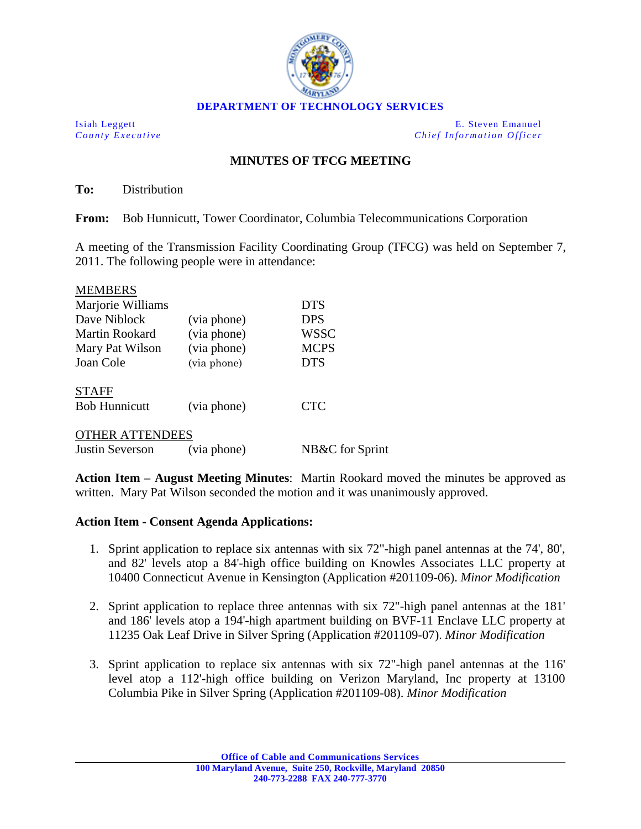

Isiah Leggett E. Steven Emanuel *County Executive Chief Information Officer*

## **MINUTES OF TFCG MEETING**

**To:** Distribution

**From:** Bob Hunnicutt, Tower Coordinator, Columbia Telecommunications Corporation

A meeting of the Transmission Facility Coordinating Group (TFCG) was held on September 7, 2011. The following people were in attendance:

| <b>MEMBERS</b>         |             |                 |
|------------------------|-------------|-----------------|
| Marjorie Williams      |             | <b>DTS</b>      |
| Dave Niblock           | (via phone) | <b>DPS</b>      |
| Martin Rookard         | (via phone) | <b>WSSC</b>     |
| Mary Pat Wilson        | (via phone) | <b>MCPS</b>     |
| Joan Cole              | (via phone) | <b>DTS</b>      |
| <b>STAFF</b>           |             |                 |
| <b>Bob Hunnicutt</b>   | (via phone) | <b>CTC</b>      |
| <b>OTHER ATTENDEES</b> |             |                 |
| Justin Severson        | (via phone) | NB&C for Sprint |

**Action Item – August Meeting Minutes**: Martin Rookard moved the minutes be approved as written. Mary Pat Wilson seconded the motion and it was unanimously approved.

## **Action Item - Consent Agenda Applications:**

- 1. Sprint application to replace six antennas with six 72"-high panel antennas at the 74', 80', and 82' levels atop a 84'-high office building on Knowles Associates LLC property at 10400 Connecticut Avenue in Kensington (Application #201109-06). *Minor Modification*
- 2. Sprint application to replace three antennas with six 72"-high panel antennas at the 181' and 186' levels atop a 194'-high apartment building on BVF-11 Enclave LLC property at 11235 Oak Leaf Drive in Silver Spring (Application #201109-07). *Minor Modification*
- 3. Sprint application to replace six antennas with six 72"-high panel antennas at the 116' level atop a 112'-high office building on Verizon Maryland, Inc property at 13100 Columbia Pike in Silver Spring (Application #201109-08). *Minor Modification*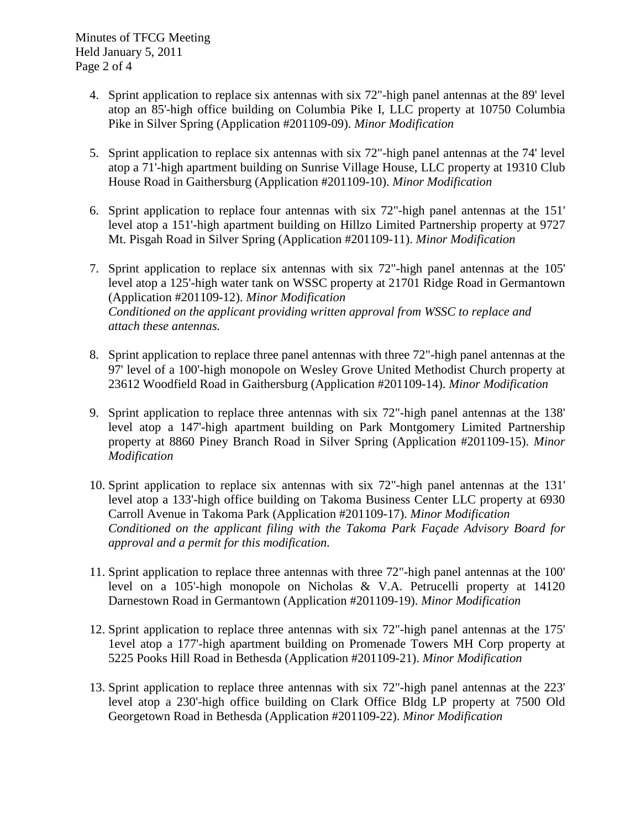- 4. Sprint application to replace six antennas with six 72"-high panel antennas at the 89' level atop an 85'-high office building on Columbia Pike I, LLC property at 10750 Columbia Pike in Silver Spring (Application #201109-09). *Minor Modification*
- 5. Sprint application to replace six antennas with six 72"-high panel antennas at the 74' level atop a 71'-high apartment building on Sunrise Village House, LLC property at 19310 Club House Road in Gaithersburg (Application #201109-10). *Minor Modification*
- 6. Sprint application to replace four antennas with six 72"-high panel antennas at the 151' level atop a 151'-high apartment building on Hillzo Limited Partnership property at 9727 Mt. Pisgah Road in Silver Spring (Application #201109-11). *Minor Modification*
- 7. Sprint application to replace six antennas with six 72"-high panel antennas at the 105' level atop a 125'-high water tank on WSSC property at 21701 Ridge Road in Germantown (Application #201109-12). *Minor Modification Conditioned on the applicant providing written approval from WSSC to replace and attach these antennas.*
- 8. Sprint application to replace three panel antennas with three 72"-high panel antennas at the 97' level of a 100'-high monopole on Wesley Grove United Methodist Church property at 23612 Woodfield Road in Gaithersburg (Application #201109-14). *Minor Modification*
- 9. Sprint application to replace three antennas with six 72"-high panel antennas at the 138' level atop a 147'-high apartment building on Park Montgomery Limited Partnership property at 8860 Piney Branch Road in Silver Spring (Application #201109-15). *Minor Modification*
- 10. Sprint application to replace six antennas with six 72"-high panel antennas at the 131' level atop a 133'-high office building on Takoma Business Center LLC property at 6930 Carroll Avenue in Takoma Park (Application #201109-17). *Minor Modification Conditioned on the applicant filing with the Takoma Park Façade Advisory Board for approval and a permit for this modification.*
- 11. Sprint application to replace three antennas with three 72"-high panel antennas at the 100' level on a 105'-high monopole on Nicholas & V.A. Petrucelli property at 14120 Darnestown Road in Germantown (Application #201109-19). *Minor Modification*
- 12. Sprint application to replace three antennas with six 72"-high panel antennas at the 175' 1evel atop a 177'-high apartment building on Promenade Towers MH Corp property at 5225 Pooks Hill Road in Bethesda (Application #201109-21). *Minor Modification*
- 13. Sprint application to replace three antennas with six 72"-high panel antennas at the 223' level atop a 230'-high office building on Clark Office Bldg LP property at 7500 Old Georgetown Road in Bethesda (Application #201109-22). *Minor Modification*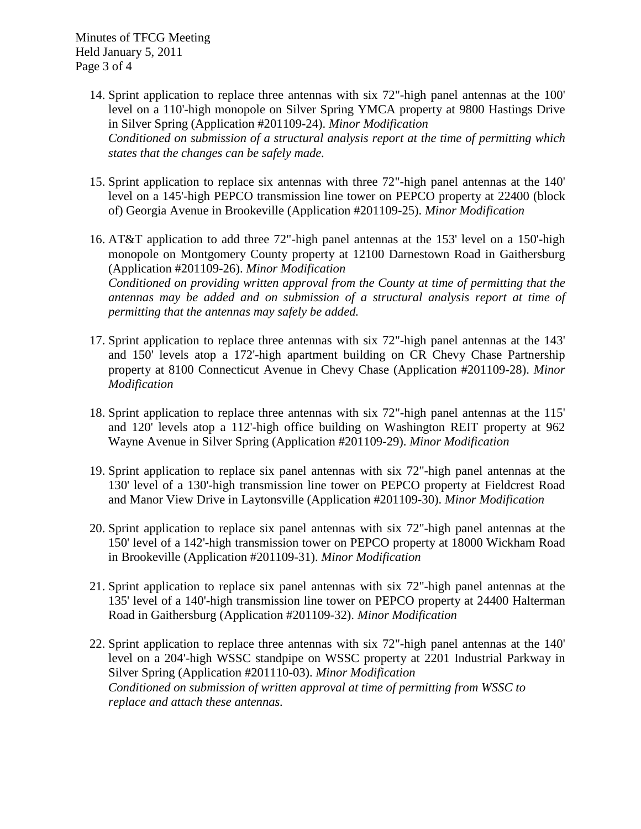Minutes of TFCG Meeting Held January 5, 2011 Page 3 of 4

- 14. Sprint application to replace three antennas with six 72"-high panel antennas at the 100' level on a 110'-high monopole on Silver Spring YMCA property at 9800 Hastings Drive in Silver Spring (Application #201109-24). *Minor Modification Conditioned on submission of a structural analysis report at the time of permitting which states that the changes can be safely made.*
- 15. Sprint application to replace six antennas with three 72"-high panel antennas at the 140' level on a 145'-high PEPCO transmission line tower on PEPCO property at 22400 (block of) Georgia Avenue in Brookeville (Application #201109-25). *Minor Modification*
- 16. AT&T application to add three 72"-high panel antennas at the 153' level on a 150'**-**high monopole on Montgomery County property at 12100 Darnestown Road in Gaithersburg (Application #201109-26). *Minor Modification Conditioned on providing written approval from the County at time of permitting that the antennas may be added and on submission of a structural analysis report at time of permitting that the antennas may safely be added.*
- 17. Sprint application to replace three antennas with six 72"-high panel antennas at the 143' and 150' levels atop a 172'-high apartment building on CR Chevy Chase Partnership property at 8100 Connecticut Avenue in Chevy Chase (Application #201109-28). *Minor Modification*
- 18. Sprint application to replace three antennas with six 72"-high panel antennas at the 115' and 120' levels atop a 112'-high office building on Washington REIT property at 962 Wayne Avenue in Silver Spring (Application #201109-29). *Minor Modification*
- 19. Sprint application to replace six panel antennas with six 72"-high panel antennas at the 130' level of a 130'-high transmission line tower on PEPCO property at Fieldcrest Road and Manor View Drive in Laytonsville (Application #201109-30). *Minor Modification*
- 20. Sprint application to replace six panel antennas with six 72"-high panel antennas at the 150' level of a 142'-high transmission tower on PEPCO property at 18000 Wickham Road in Brookeville (Application #201109-31). *Minor Modification*
- 21. Sprint application to replace six panel antennas with six 72"-high panel antennas at the 135' level of a 140'-high transmission line tower on PEPCO property at 24400 Halterman Road in Gaithersburg (Application #201109-32). *Minor Modification*
- 22. Sprint application to replace three antennas with six 72"-high panel antennas at the 140' level on a 204'-high WSSC standpipe on WSSC property at 2201 Industrial Parkway in Silver Spring (Application #201110-03). *Minor Modification Conditioned on submission of written approval at time of permitting from WSSC to replace and attach these antennas.*